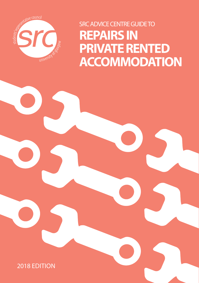

SRC ADVICE CENTRE GUIDE TO **REPAIRS IN PRIVATE RENTED ACCOMMODATION**

2018 EDITION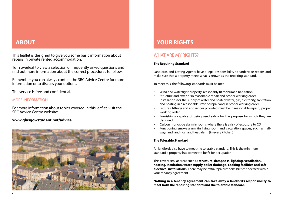# **ABOUT**

This leaflet is designed to give you some basic information about repairs in private rented accommodation.

Turn overleaf to view a selection of frequently asked questions and find out more information about the correct procedures to follow.

Remember you can always contact the SRC Advice Centre for more information or to discuss your options.

The service is free and confidential.

# MORE INFORMATION

For more information about topics covered in this leaflet, visit the SRC Advice Centre website:

# **[www.glasgowstudent.net/advice](http://www.glasgowstudent.net/advice)**



# **YOUR RIGHTS**

# WHAT ARE MY RIGHTS?

#### **The Repairing Standard**

Landlords and Letting Agents have a legal responsibility to undertake repairs and make sure that a property meets what is known as the repairing standard.

To meet this, the following standards must be met:

- Wind and watertight property, reasonably fit for human habitation
- Structure and exterior in reasonable repair and proper working order
- Installations for the supply of water and heated water, gas, electricity, sanitation and heating in a reasonable state of repair and in proper working order
- Fixtures, fittings and appliances provided must be in reasonable repair / proper working order
- Furnishings capable of being used safely for the purpose for which they are designed
- Carbon monoxide alarm in rooms where there is a risk of exposure to CO
- Functioning smoke alarm (in living room and circulation spaces, such as hallways and landings) and heat alarm (in every kitchen)

#### **The Tolerable Standard**

All landlords also have to meet the tolerable standard. This is the minimum standard a property has to meet to be fit for occupation.

This covers similar areas such as **structure, dampness, lighting, ventilation, heating, insulation, water supply, toilet drainage, cooking facilities and safe electrical installations**. There may be extra repair responsibilities specified within your tenancy agreement.

**Nothing in a tenancy agreement can take away a landlord's responsibility to meet both the repairing standard and the tolerable standard.**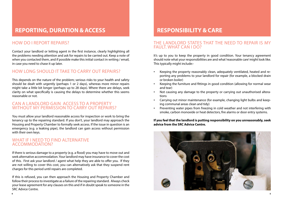# **REPORTING, DURATION & ACCESS RESPONSIBILITY & CARE**

# HOW DO I REPORT REPAIRS?

Contact your landlord or letting agent in the first instance, clearly highlighting all the problems needing attention and ask for repairs to be carried out. Keep a note of when you contacted them, and if possible make this initial contact in writing / email, in case you need to chase it up later.

# HOW LONG SHOULD IT TAKE TO CARRY OUT REPAIRS?

This depends on the nature of the problem; serious risks to your health and safety should be dealt with urgently (perhaps 1 or 2 days), whereas more minor repairs might take a little bit longer (perhaps up to 28 days). Where there are delays, seek clarity on what specifically is causing the delays to determine whether this seems reasonable or not.

# CAN A LANDLORD GAIN ACCESS TO A PROPERTY WITHOUT MY PERMISSION TO CARRY OUT REPAIRS?

You must allow your landlord reasonable access for inspection or work to bring the tenancy up to the repairing standard. If you don't, your landlord may approach the Housing and Property Chamber to formally seek access. If the issue in question is an emergency (e.g. a leaking pipe), the landlord can gain access without permission with their own keys.

# WHAT IF I NEED TO FIND ALTERNATIVE ACCOMMODATION?

If there is serious damage to a property (e.g. a flood) you may have to move out and seek alternative accommodation. Your landlord may have insurance to cover the cost of this. First ask your landlord / agent what help they are able to offer you. If they are not willing to cover this cost, you can alternatively ask that they suspend rent charges for this period until repairs are completed.

If this is refused, you can then approach the Housing and Property Chamber and follow their process to investigate as a failure of the repairing standard. Always check your lease agreement for any clauses on this and if in doubt speak to someone in the SRC Advice Centre.

# THE LANDLORD STATES THAT THE NFFD TO RFPAIR IS MY FAULT. WHAT CAN LDO?

It's up to you to keep the property in good condition. Your tenancy agreement should note what your responsibilities are and what 'reasonable care' might look like. This typically might include:-

- Keeping the property reasonably clean, adequately ventilated, heated and reporting any problems to your landlord for repair (for example, a blocked drain or broken boiler)
- Keeping the furniture and fittings in good condition (allowing for normal wear and tear)
- Not causing any damage to the property or carrying out unauthorised alterations
- Carrying out minor maintenance (for example, changing light bulbs and keeping communal areas clean and tidy)
- Preventing water pipes from freezing in cold weather and not interfering with smoke, carbon monoxide or heat detectors, fire alarms or door entry systems.

#### **If you feel that the landlord is putting responsibility on you unreasonably, seek advice from the SRC Advice Centre.**

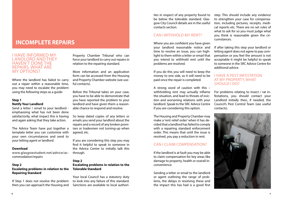# **INCOMPLETE REPAIRS**

#### I HAVE INFORMED MY LANDLORD AND THEY HAVEN'T DONE THE REPAIRS. WHAT ARE MY OPTIONS?

Where the landlord has failed to carry out a repair within a reasonable time, you may need to escalate the problem using the following steps as a guide:

### **Step 1**

#### **Notify Your Landlord**

Send a letter / email to your landlord emphasising what has not been done satisfactorily, what impact this is having and again asking that they take action.

The Advice Team have put together a template letter you can customise with your own circumstances and send to your letting agent or landlord.

#### **Download**

[www.glasgowstudent.net/advice/ac](http://www.glasgowstudent.net/advice/accommodation/repairs)[commodation/repairs](http://www.glasgowstudent.net/advice/accommodation/repairs)

#### **Step 2**

#### **Escalating problems in relation to the Repairing Standard**

If Step 1 does not resolve the problem then you can approach the Housing and

Property Chamber Tribunal who can force your landlord to carry out repairs in relation to the repairing standard.

More information and an application form can be accessed from the Housing and Property Chamber website (see useful contacts).

Before the Tribunal takes on your case, you have to be able to demonstrate that you have reported the problem to your landlord and have given them a reasonable chance to respond and resolve.

So keep dated copies of any letters or emails you send your landlord about the repairs and a record of any broken promises or tradesmen not turning-up when agreed, etc.

If you are considering this step you may find it helpful to speak to someone in the Advice Centre to initially talk this through.

#### **Step 2 Escalating problems in relation to the Tolerable Standard**

Your local Council has a statutory duty to look into any failure of this standard. Sanctions are available to local authorities in respect of any property found to be below the tolerable standard. Glasgow City Council details are in the useful contacts section.

## CAN I WITHHOLD MY RENT?

Where you are confident you have given your landlord reasonable notice and time to resolve an issue, you can highlight to them within a letter or email that you intend to withhold rent until the problems are resolved.

If you do this you will need to keep the money to one side, as it will need to be paid once the repair is completed.

A strong word of caution with this – withholding rent may actually inflame the situation, and lead to threats of eviction and worsening relations with your landlord. Speak to the SRC Advice Centre if you are considering this option.

The Housing and Property Chamber may make a 'rent relief order' when it has decided that a landlord has failed to comply with a repairing standard enforcement order. This means that until the issue is resolved, you pay a reduction in rent.

### CAN LCLAIM COMPENSATION?

If the landlord is at fault you may be able to claim compensation for key areas like damage to property, health or overall inconvenience.

Sending a letter or email to the landlord or agent outlining the range of problems, the delays in resolving these and the impact this has had is a good first

step. This should include any evidence to strengthen your case for compensation, including pictures, receipts, medical reports etc. There are no set rules of what to ask for so you must judge what you think is reasonable given the circumstances.

If after taking this step your landlord or letting agent does not agree to pay compensation or you feel the amount is not acceptable it might be helpful to speak to someone in the SRC Advice Centre for additional advice.

#### I HAVE A PEST INFESTATION AT MY PROPERTY, WHAT SHOULD I DO?

For problems relating to insect / rat infestations, you should contact your Landlord initially then, if needed, the Council's Pest Control Team (see useful contacts).